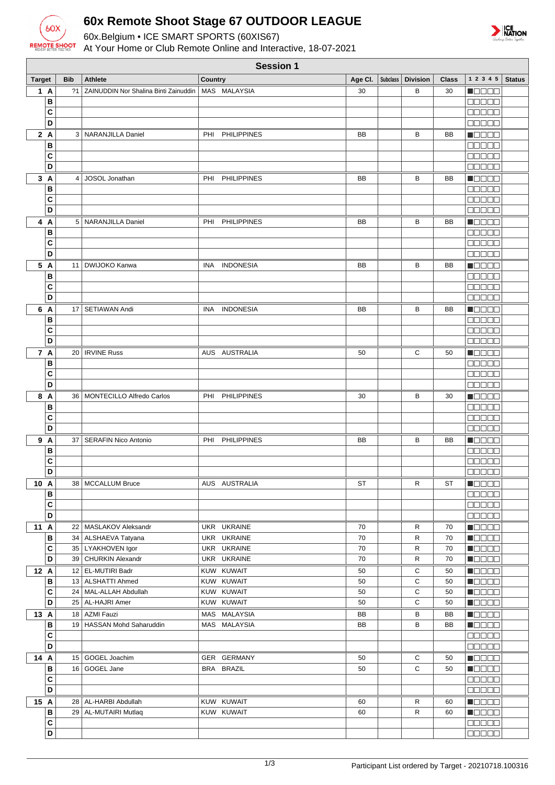

## **60x Remote Shoot Stage 67 OUTDOOR LEAGUE**

60x.Belgium • ICE SMART SPORTS (60XIS67)

At Your Home or Club Remote Online and Interactive, 18-07-2021



| <b>Session 1</b>  |            |                                              |                            |           |  |                     |              |                                                                   |               |
|-------------------|------------|----------------------------------------------|----------------------------|-----------|--|---------------------|--------------|-------------------------------------------------------------------|---------------|
| <b>Target</b>     | <b>Bib</b> | <b>Athlete</b>                               | <b>Country</b>             | Age CI.   |  | Subclass   Division | <b>Class</b> | 1 2 3 4 5                                                         | <b>Status</b> |
| 1 A               | 21         | ZAINUDDIN Nor Shalina Binti Zainuddin        | MAS MALAYSIA               | 30        |  | в                   | 30           | <u>i de se</u>                                                    |               |
| B                 |            |                                              |                            |           |  |                     |              | <b>REBEE</b>                                                      |               |
| C                 |            |                                              |                            |           |  |                     |              | 88888                                                             |               |
| D                 |            |                                              |                            |           |  |                     |              | ooooo                                                             |               |
| 2A                |            | 3   NARANJILLA Daniel                        | <b>PHILIPPINES</b><br>PHI  | BB        |  | в                   | BB           | n do oc                                                           |               |
| B<br>C            |            |                                              |                            |           |  |                     |              | an de E<br><b>REBEE</b>                                           |               |
| D                 |            |                                              |                            |           |  |                     |              | 88888                                                             |               |
| 3A                | 4          | JOSOL Jonathan                               | <b>PHILIPPINES</b><br>PHI  | BB        |  | B                   | BB           | Maaaa                                                             |               |
| B                 |            |                                              |                            |           |  |                     |              | 88888                                                             |               |
| C                 |            |                                              |                            |           |  |                     |              | $\Box$ $\Box$ $\Box$ $\Box$ $\Box$                                |               |
| D                 |            |                                              |                            |           |  |                     |              | aasaa                                                             |               |
| 4 A               |            | 5   NARANJILLA Daniel                        | <b>PHILIPPINES</b><br>PHI  | BB        |  | в                   | BB           | <b>Maaaa</b>                                                      |               |
| B                 |            |                                              |                            |           |  |                     |              | Maaaa                                                             |               |
| C                 |            |                                              |                            |           |  |                     |              | 00000                                                             |               |
| D                 |            |                                              |                            |           |  |                     |              | 88888                                                             |               |
| 5 A               | 11         | DWIJOKO Kanwa                                | <b>INDONESIA</b><br>INA    | <b>BB</b> |  | B                   | BB           | <b>H</b> OOOO                                                     |               |
| B<br>C            |            |                                              |                            |           |  |                     |              | 88888                                                             |               |
| D                 |            |                                              |                            |           |  |                     |              | 88888<br>00000                                                    |               |
| 6 A               |            | 17   SETIAWAN Andi                           | <b>INDONESIA</b><br>INA    | BB        |  | B                   | BB           | N O D O O                                                         |               |
| B                 |            |                                              |                            |           |  |                     |              | 00000                                                             |               |
| C                 |            |                                              |                            |           |  |                     |              | 88886                                                             |               |
| D                 |            |                                              |                            |           |  |                     |              | 88888                                                             |               |
| 7 A               |            | 20   IRVINE Russ                             | AUS AUSTRALIA              | 50        |  | С                   | 50           | n de e a                                                          |               |
| B                 |            |                                              |                            |           |  |                     |              | 88888                                                             |               |
| C                 |            |                                              |                            |           |  |                     |              | a da da                                                           |               |
| D                 |            |                                              |                            |           |  |                     |              | e e e e e                                                         |               |
| 8 A               |            | 36   MONTECILLO Alfredo Carlos               | <b>PHILIPPINES</b><br>PHI  | 30        |  | В                   | 30           | Maaaa                                                             |               |
| B                 |            |                                              |                            |           |  |                     |              | <b>BOBBB</b>                                                      |               |
| C<br>D            |            |                                              |                            |           |  |                     |              | <b>NOOCH</b>                                                      |               |
|                   |            | 37   SERAFIN Nico Antonio                    | <b>PHILIPPINES</b><br>PHI  |           |  | в                   | BB           | aanaa                                                             |               |
| 9 A<br>B          |            |                                              |                            | BB        |  |                     |              | N OO OO<br>MA SE S                                                |               |
| C                 |            |                                              |                            |           |  |                     |              | an na n                                                           |               |
| D                 |            |                                              |                            |           |  |                     |              | 88888                                                             |               |
| 10 A              |            | 38   MCCALLUM Bruce                          | AUS AUSTRALIA              | ST        |  | R                   | ST           | $\blacksquare$ $\square$ $\square$ $\blacksquare$                 |               |
| в                 |            |                                              |                            |           |  |                     |              | 88888                                                             |               |
| $\mathbf{C}$      |            |                                              |                            |           |  |                     |              | <b>BBBBB</b>                                                      |               |
| D                 |            |                                              |                            |           |  |                     |              | 00000                                                             |               |
| 11 A              |            | 22   MASLAKOV Aleksandr                      | UKR UKRAINE                | 70        |  | R                   | 70           | Maaaa                                                             |               |
| В                 |            | 34   ALSHAEVA Tatyana                        | UKR UKRAINE<br>UKR UKRAINE | 70<br>70  |  | R<br>R              | 70           | <b>NEBEE</b>                                                      |               |
| C<br>D            |            | 35   LYAKHOVEN Igor<br>39   CHURKIN Alexandr | UKR UKRAINE                | 70        |  | R                   | 70<br>70     | $\blacksquare$ $\square$ $\square$ $\blacksquare$<br><b>Macao</b> |               |
| 12 A              |            | 12 EL-MUTIRI Badr                            | KUW KUWAIT                 | 50        |  | С                   | 50           | Maaaa                                                             |               |
| B                 |            | 13   ALSHATTI Ahmed                          | KUW KUWAIT                 | 50        |  | C                   | 50           | <b>Nacional</b>                                                   |               |
| C                 |            | 24   MAL-ALLAH Abdullah                      | KUW KUWAIT                 | 50        |  | C                   | 50           | <b>HEEEE</b>                                                      |               |
| D                 |            | 25 AL-HAJRI Amer                             | KUW KUWAIT                 | 50        |  | C                   | 50           | <b>Maaaa</b>                                                      |               |
| 13 A              |            | 18 AZMI Fauzi                                | MAS MALAYSIA               | BB        |  | В                   | BB           | $\blacksquare$ $\square$ $\square$ $\square$                      |               |
| в                 |            | 19 HASSAN Mohd Saharuddin                    | MAS MALAYSIA               | BB        |  | B                   | BB           | <b>Macao</b>                                                      |               |
| C                 |            |                                              |                            |           |  |                     |              | 88888                                                             |               |
| D                 |            |                                              |                            |           |  |                     |              | 88888                                                             |               |
| 14 A              |            | 15 GOGEL Joachim                             | GER GERMANY                | 50        |  | С                   | 50           | <b>H</b> OOOO                                                     |               |
| в<br>$\mathbf{C}$ |            | 16 GOGEL Jane                                | BRA BRAZIL                 | 50        |  | C                   | 50           | Maaaa                                                             |               |
| D                 |            |                                              |                            |           |  |                     |              | ee e e e<br>88888                                                 |               |
| 15 A              |            | 28   AL-HARBI Abdullah                       | KUW KUWAIT                 | 60        |  | R                   | 60           | <b>Maaaa</b>                                                      |               |
| $\, {\bf B}$      |            | 29   AL-MUTAIRI Mutlaq                       | KUW KUWAIT                 | 60        |  | R                   | 60           | <b>M</b> OOOO                                                     |               |
| $\mathbf{C}$      |            |                                              |                            |           |  |                     |              | 88888                                                             |               |
| D                 |            |                                              |                            |           |  |                     |              | 88888                                                             |               |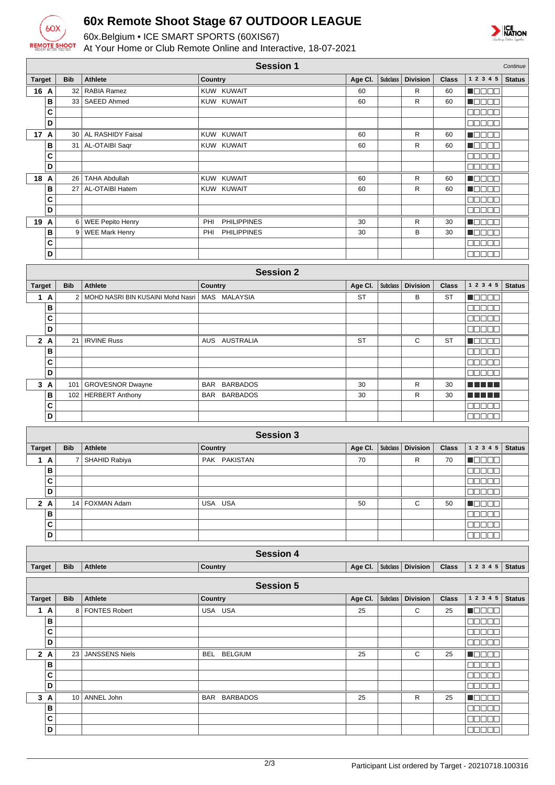

## **60x Remote Shoot Stage 67 OUTDOOR LEAGUE**

60x.Belgium • ICE SMART SPORTS (60XIS67)

At Your Home or Club Remote Online and Interactive, 18-07-2021



| <b>Session 1</b><br>Continue |            |                                   |                           |           |                 |                               |              |                             |               |
|------------------------------|------------|-----------------------------------|---------------------------|-----------|-----------------|-------------------------------|--------------|-----------------------------|---------------|
| <b>Target</b>                | <b>Bib</b> | <b>Athlete</b>                    | Country                   | Age Cl.   | <b>Subclass</b> | <b>Division</b>               | <b>Class</b> | 1 2 3 4 5                   | <b>Status</b> |
| 16 A                         | 32         | RABIA Ramez                       | KUW KUWAIT                | 60        |                 | R                             | 60           | $\blacksquare$              |               |
| B                            | 33         | <b>SAEED Ahmed</b>                | KUW KUWAIT                | 60        |                 | R                             | 60           | Maaaa                       |               |
| C                            |            |                                   |                           |           |                 |                               |              | 00000                       |               |
| D                            |            |                                   |                           |           |                 |                               |              | <b>BBBBB</b>                |               |
| 17 A                         | 30         | AL RASHIDY Faisal                 | KUW KUWAIT                | 60        |                 | R                             | 60           | <b>MODES</b>                |               |
| В                            | 31         | AL-OTAIBI Saqr                    | KUW KUWAIT                | 60        |                 | R                             | 60           | <b>H</b> OOOO               |               |
| C                            |            |                                   |                           |           |                 |                               |              | 00000                       |               |
| D                            |            |                                   |                           |           |                 |                               |              | 80000                       |               |
| 18 A                         | 26         | <b>TAHA Abdullah</b>              | KUW KUWAIT                | 60        |                 | R                             | 60           | Maaaa                       |               |
| B                            | 27         | AL-OTAIBI Hatem                   | KUW KUWAIT                | 60        |                 | R                             | 60           | n 880a                      |               |
| C                            |            |                                   |                           |           |                 |                               |              | $\Box$ $\Box$ $\Box$ $\Box$ |               |
| D                            |            |                                   |                           |           |                 |                               |              | 00000                       |               |
| 19 A                         |            | 6 WEE Pepito Henry                | <b>PHILIPPINES</b><br>PHI | 30        |                 | R                             | 30           | <b>MODEL</b>                |               |
| B                            | 9          | <b>WEE Mark Henry</b>             | <b>PHILIPPINES</b><br>PHI | 30        |                 | B                             | 30           | $\blacksquare$              |               |
| C<br>D                       |            |                                   |                           |           |                 |                               |              | 88888<br>00000              |               |
|                              |            |                                   |                           |           |                 |                               |              |                             |               |
|                              |            |                                   | <b>Session 2</b>          |           |                 |                               |              |                             |               |
| <b>Target</b>                | <b>Bib</b> | <b>Athlete</b>                    | Country                   | Age Cl.   | <b>Subclass</b> | <b>Division</b>               | <b>Class</b> | 1 2 3 4 5                   | <b>Status</b> |
| 1A                           | 2          | MOHD NASRI BIN KUSAINI Mohd Nasri | MAS MALAYSIA              | ST        |                 | B                             | <b>ST</b>    | MOO 80                      |               |
| B                            |            |                                   |                           |           |                 |                               |              | 00000                       |               |
| C                            |            |                                   |                           |           |                 |                               |              | 00000                       |               |
| D                            |            |                                   |                           |           |                 |                               |              | <b>00000</b>                |               |
| 2A                           | 21         | <b>IRVINE Russ</b>                | AUS AUSTRALIA             | <b>ST</b> |                 | C                             | <b>ST</b>    | MOO O W                     |               |
| В                            |            |                                   |                           |           |                 |                               |              | 00000                       |               |
| C                            |            |                                   |                           |           |                 |                               |              | an da s                     |               |
| D                            |            |                                   |                           |           |                 |                               |              | 00000                       |               |
| 3A                           | 101        | <b>GROVESNOR Dwayne</b>           | BAR BARBADOS              | 30        |                 | R                             | 30           | n na mats                   |               |
| В                            |            | 102   HERBERT Anthony             | <b>BARBADOS</b><br>BAR    | 30        |                 | R                             | 30           | n di Tito                   |               |
| C                            |            |                                   |                           |           |                 |                               |              | 00000                       |               |
| D                            |            |                                   |                           |           |                 |                               |              | <u>e se se</u>              |               |
|                              |            |                                   | <b>Session 3</b>          |           |                 |                               |              |                             |               |
| <b>Target</b>                | <b>Bib</b> | Athlete                           | Country                   | Age Cl.   |                 | Subclass   Division           | <b>Class</b> | $1\ 2\ 3\ 4\ 5$             | <b>Status</b> |
| 1A                           | 7          | SHAHID Rabiya                     | PAK PAKISTAN              | 70        |                 | R                             | 70           | $\blacksquare$              |               |
| B                            |            |                                   |                           |           |                 |                               |              | <b>COOCO</b>                |               |
| C                            |            |                                   |                           |           |                 |                               |              | <b>00000</b>                |               |
| D                            |            |                                   |                           |           |                 |                               |              | <b>00000</b>                |               |
| 2A                           |            | 14   FOXMAN Adam                  | USA USA                   | 50        |                 | С                             | 50           | MOOO O                      |               |
| B                            |            |                                   |                           |           |                 |                               |              | 00000                       |               |
| C                            |            |                                   |                           |           |                 |                               |              | 00000                       |               |
| D                            |            |                                   |                           |           |                 |                               |              | 00000                       |               |
|                              |            |                                   | <b>Session 4</b>          |           |                 |                               |              |                             |               |
| <b>Target</b>                | <b>Bib</b> | <b>Athlete</b>                    | Country                   |           |                 | Age CI.   Subclass   Division | <b>Class</b> | 1 2 3 4 5                   | <b>Status</b> |
|                              |            |                                   |                           |           |                 |                               |              |                             |               |
| <b>Session 5</b>             |            |                                   |                           |           |                 |                               |              |                             |               |
| <b>Target</b>                | <b>Bib</b> | Athlete                           | Country                   | Age Cl.   | <b>Subclass</b> | <b>Division</b>               | <b>Class</b> | 1 2 3 4 5                   | <b>Status</b> |
| 1A                           |            | 8   FONTES Robert                 | USA USA                   | 25        |                 | C                             | 25           | <b>Recep</b>                |               |
| B                            |            |                                   |                           |           |                 |                               |              | <b>00000</b>                |               |
| C                            |            |                                   |                           |           |                 |                               |              | <b>00000</b>                |               |
| D                            |            |                                   |                           |           |                 |                               |              | 00000                       |               |
| 2A                           | 23         | <b>JANSSENS Niels</b>             | BEL BELGIUM               | 25        |                 | C                             | 25           | <b>Recep</b>                |               |
| В                            |            |                                   |                           |           |                 |                               |              | <b>00000</b>                |               |
| C                            |            |                                   |                           |           |                 |                               |              | <b>00000</b>                |               |
| D                            |            |                                   |                           |           |                 |                               |              | 00000                       |               |
| 3A                           |            | 10 ANNEL John                     | BAR BARBADOS              | 25        |                 | R                             | 25           | <u> Nacar</u>               |               |
| В                            |            |                                   |                           |           |                 |                               |              | <b>BBBBB</b>                |               |
| C                            |            |                                   |                           |           |                 |                               |              | 00000                       |               |
| D                            |            |                                   |                           |           |                 |                               |              | $\Box \Box \Box \Box \Box$  |               |